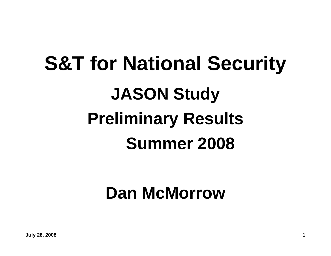# **S&T for National Security JASON Study Preliminary Results Summer 2008**

## **Dan McMorrow**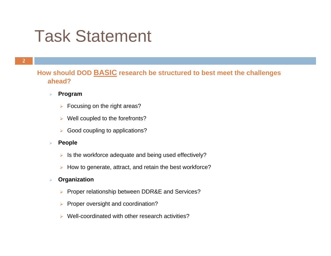## Task Statement

### **How should DOD BASIC research be structured to best meet the challenges ahead?**

#### $\blacktriangleright$ **Program**

- $\triangleright$  Focusing on the right areas?
- $\triangleright$  Well coupled to the forefronts?
- **▶ Good coupling to applications?**
- ¾ **People**
	- $\triangleright$  Is the workforce adequate and being used effectively?
	- ¾ How to generate, attract, and retain the best workforce?

#### $\blacktriangleright$ **Organization**

- ¾ Proper relationship between DDR&E and Services?
- ¾ Proper oversight and coordination?
- ¾ Well-coordinated with other research activities?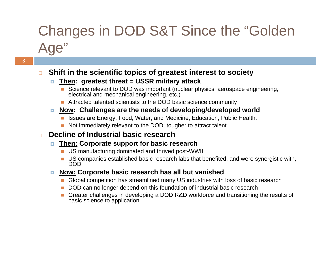## Changes in DOD S&T Since the "Golden Age"

#### $\Box$ **Shift in the scientific topics of greatest interest to society**

#### Ξ **Then: greatest threat = USSR military attack**

- Science relevant to DOD was important (nuclear physics, aerospace engineering, electrical and mechanical engineering, etc.)
- Attracted talented scientists to the DOD basic science community

### **Now: Challenges are the needs of developing/developed world**

- Issues are Energy, Food, Water, and Medicine, Education, Public Health.
- Not immediately relevant to the DOD; tougher to attract talent

#### $\Box$ **Decline of Industrial basic research**

#### $\Box$ **Then: Corporate support for basic research**

- **US manufacturing dominated and thrived post-WWII**
- US companies established basic research labs that benefited, and were synergistic with,<br>DOD
- o. **Now: Corporate basic research has all but vanished**
	- **Global competition has streamlined many US industries with loss of basic research**
	- DOD can no longer depend on this foundation of industrial basic research
	- Greater challenges in developing a DOD R&D workforce and transitioning the results of basic science to application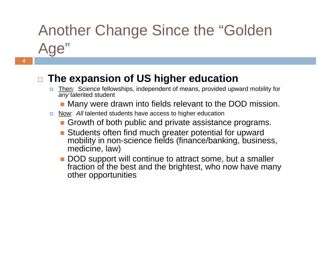# Another Change Since the "Golden Age"

#### $\Box$ **The expansion of US higher education**

- Then: Science fellowships, independent of means, provided upward mobility for *any* talented student
	- **Nany were drawn into fields relevant to the DOD mission.**
- D. Now: *All* talented students have access to higher education
	- Growth of both public and private assistance programs.
	- П Students often find much greater potential for upward mobility in non-science fields (finance/banking, business, medicine, law)
	- DOD support will continue to attract some, but a smaller fraction of the best and the brightest, who now have many other opportunities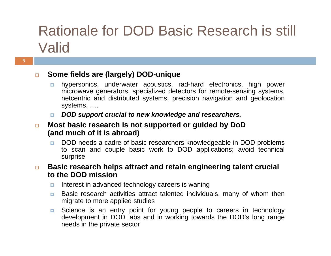## Rationale for DOD Basic Research is still Valid

#### $\Box$ **Some fields are (largely) DOD-unique**

- $\Box$  hypersonics, underwater acoustics, rad-hard electronics, high power microwave generators, specialized detectors for remote-sensing systems, netcentric and distributed systems, precision navigation and geolocation systems, ….
- *DOD support crucial to new knowledge and researchers.*
- $\Box$  **Most basic research is not supported or guided by DoD (and much of it is abroad)**
	- **DOD** needs a cadre of basic researchers knowledgeable in DOD problems to scan and couple basic work to DOD applications; avoid technical surprise

 $\Box$  **Basic research helps attract and retain engineering talent crucial to the DOD mission**

- п Interest in advanced technology careers is waning
- o. Basic research activities attract talented individuals, many of whom then migrate to more applied studies
- o. Science is an entry point for young people to careers in technology development in DOD labs and in working towards the DOD's long range needs in the private sector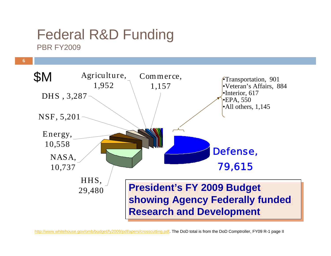## Federal R&D Funding **PBR FY2009**

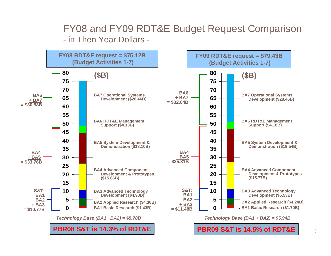### FY08 and FY09 RDT&E Budget Request Comparison - in Then Year Dollars -

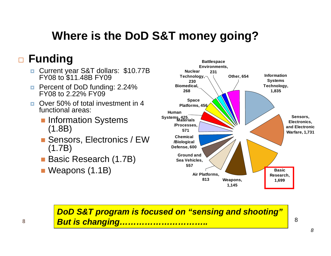## **Where is the DoD S&T money going?**

## **Funding**

- $\Box$ Current year S&T dollars: \$10.77B FY08 to \$11.48B FY09
- **Percent of DoD funding: 2.24%** FY08 to 2.22% FY09
- п. Over 50% of total investment in 4 functional areas:
	- **Information Systems** (1.8B)
	- Sensors, Electronics / EW (1.7B)
	- Basic Research (1.7B)
	- Weapons (1.1B)



*DoD S&T program is focused on "sensing and shooting" But is changing…………………………..*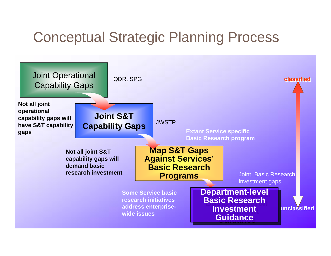## Conceptual Strategic Planning Process

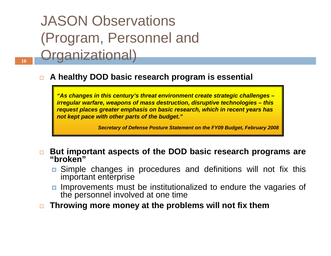## JASON Observations (Program, Personnel and **Organizational**)

#### $\Box$ **A healthy DOD basic research program is essential**

*"As changes in this century's threat environment create strategic challenges – irregular warfare, weapons of mass destruction, disruptive technologies – this request places greater emphasis on basic research, which in recent years has not kept pace with other parts of the budget."*

*Secretary of Defense Posture Statement on the FY09 Budget, February 2008*

 $\Box$ **But important aspects of the DOD basic research programs are "broken"**

- **n** Simple changes in procedures and definitions will not fix this important enterprise
- Improvements must be institutionalized to endure the vagaries of the personnel involved at one time
- $\Box$ **Throwing more money at the problems will not fix them**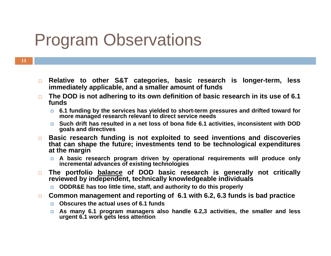## Program Observations

- **11**
- $\Box$  **Relative to other S&T categories, basic research is longer-term, less immediately applicable, and a smaller amount of funds**
- $\Box$  **The DOD is not adhering to its own definition of basic research in its use of 6.1 funds**
	- $\mathbf{E}$ **6.1 funding by the services has yielded to short-term pressures and drifted toward for more managed research relevant to direct service needs**
	- **Such drift has resulted in a net loss of bona fide 6.1 activities, inconsistent with DOD goals and directives**
- $\Box$  **Basic research funding is not exploited to seed inventions and discoveries that can shape the future; investments tend to be technological expenditures at the margin**
	- **A basic research program driven by operational requirements will produce only incremental advances of existing technologies**
- $\Box$  **The portfolio balance of DOD basic research is generally not critically reviewed by independent, technically knowledgeable individuals**
	- **ODDR&E has too little time, staff, and authority to do this properly**
- $\Box$  **Common management and reporting of 6.1 with 6.2, 6.3 funds is bad practice** 
	- **Obscures the actual uses of 6.1 funds**
	- o. **As many 6.1 program managers also handle 6.2,3 activities, the smaller and less urgent 6.1 work gets less attention**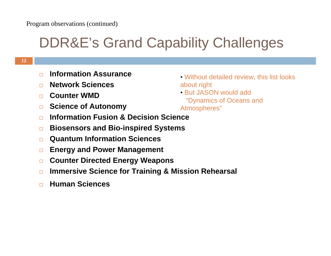## DDR&E's Grand Capability Challenges

- $\Box$ **Information Assurance**
- $\Box$ **Network Sciences**
- $\Box$ **Counter WMD**
- $\Box$ **Science of Autonomy**
- $\Box$ **Information Fusion & Decision Science**
- $\Box$ **Biosensors and Bio-inspired Systems**
- $\Box$ **Quantum Information Sciences**
- $\Box$ **Energy and Power Management**
- $\Box$ **Counter Directed Energy Weapons**
- $\Box$ **Immersive Science for Training & Mission Rehearsal**
- $\Box$ **Human Sciences**
- Without detailed review, this list looks about right
- But JASON would add"Dynamics of Oceans and Atmospheres"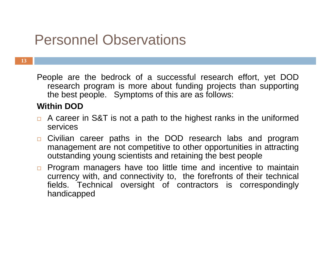## Personnel Observations

**13**

People are the bedrock of a successful research effort, yet DOD research program is more about funding projects than supporting the best people. Symptoms of this are as follows:

### **Within DOD**

- □ A career in S&T is not a path to the highest ranks in the uniformed services
- $\Box$  Civilian career paths in the DOD research labs and program management are not competitive to other opportunities in attracting outstanding young scientists and retaining the best people
- $\Box$  Program managers have too little time and incentive to maintain currency with, and connectivity to, the forefronts of their technical fields. Technical oversight of contractors is correspondingly handicapped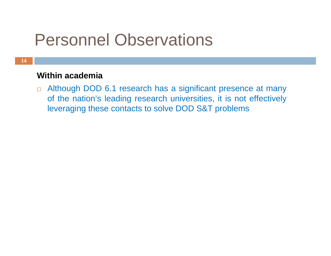## Personnel Observations

### **Within academia**

 Although DOD 6.1 research has a significant presence at many of the nation's leading research universities, it is not effectively leveraging these contacts to solve DOD S&T problems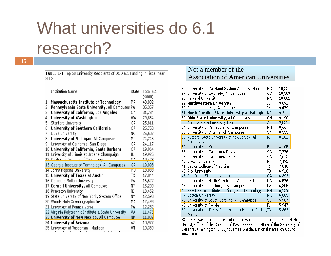# What universities do 6.1 research?

TABLE E-1 Top 50 University Recipients of DOD 6.1 Funding in Fiscal Year 2002

|   | Institution Name                                     | State | Total 6.1<br>(\$000) |
|---|------------------------------------------------------|-------|----------------------|
| 1 | <b>Massachusetts Institute of Technology</b>         | MA    | 43,802               |
| 2 | Pennsylvania State University, All Campuses PA       |       | 35,357               |
| 3 | University of California, Los Angeles                | СA    | 31,784               |
| 4 | University of Washington                             | WA    | 29,884               |
| 5 | Stanford University                                  | СA    | 25,811               |
| 6 | University of Southern California                    | СA    | 25,758               |
| 7 | Duke University                                      | ΝC    | 25,607               |
| 8 | University of Michigan, All Campuses                 | ΜI    | 24,245               |
| 9 | University of California, San Diego                  | СA    | 24,117               |
|   | 10 University of California, Santa Barbara           | СA    | 19,964               |
|   | 11 University of Illinois at Urbana-Champaign        | IL    | 19,925               |
|   | 12 California Institute of Technology                | СA.   | 19,478               |
|   | 13 Georgia Institute of Technology, All Campuses     | GA    | 19,098               |
|   | 14 Johns Hopkins University                          | MD    | 18,888               |
|   | 15 University of Texas at Austin                     | TΧ    | 17,044               |
|   | 16 Carnegie Mellon University                        | PA    | 16,527               |
|   | 17 Cornell University, All Campuses                  | NΥ    | 15,209               |
|   | 18 Princeton University                              | NJ.   | 13,452               |
|   | 19 State University of New York, System Office       | NΥ    | 12,598               |
|   | 20 Woods Hole Oceanographic Institution              | МA    | 12,493               |
|   | 21 University of Pennsylvania                        | PA.   | 12,282               |
|   | 22 Virginia Polytechnic Institute & State University | ٧A    | 11,476               |
|   | 23 University of New Mexico, All Campuses            | NΜ    | 11,032               |
|   | 24 University of Arizona                             | AΖ    | 10,977               |
|   | 25 University of Wisconsin - Madison                 | ₩I    | 10,389               |
|   |                                                      |       |                      |

#### Not a member of theAss ociation of American Universities

| 26 University of Maryland System Administration                      | MD              | 10,334           |  |  |  |  |
|----------------------------------------------------------------------|-----------------|------------------|--|--|--|--|
| 27 University of Colorado, All Campuses<br>28 Harvard University     | CО<br>МA        | 10,303<br>10,081 |  |  |  |  |
| 29 Northwestern University                                           | IL              | 9,692            |  |  |  |  |
|                                                                      | ĮŅ.             | 9,479            |  |  |  |  |
| 30 Purdue University, All Campuses                                   |                 |                  |  |  |  |  |
| 31 North Carolina State University at Raleigh                        | NC.             | 9,311            |  |  |  |  |
| 32 Ohio State University, All Campuses                               | $\overline{OH}$ | 9,190            |  |  |  |  |
| 33 Arizona State University Main                                     | AZ.             | 9,051            |  |  |  |  |
| 34 University of Minnesota, All Campuses                             | ΜN              | 8,667            |  |  |  |  |
| 35 University of Virginia, All Campuses                              | ٧A              | 8,335            |  |  |  |  |
| 36 Rutgers, State University of New Jersey, All                      | NJ.             | 8,262            |  |  |  |  |
| Campuses                                                             |                 |                  |  |  |  |  |
| 37 University of Miami                                               | FL.             | 8,105            |  |  |  |  |
| 38 University of California, Davis                                   | СA              | 7,776            |  |  |  |  |
| 39 University of California, Irvine                                  | СA              | 7,672            |  |  |  |  |
| 40 Brown University                                                  | RI              | 7,491            |  |  |  |  |
| 41 Baylor College of Medicine                                        | TΧ              | 7,040            |  |  |  |  |
| 42 Rice University                                                   | ТX              | 6,918            |  |  |  |  |
| 43 San Diego State University                                        | CA              | 6,893            |  |  |  |  |
| 44 University of North Carolina at Chapel Hill                       | ΝC              | 6,576            |  |  |  |  |
| 45 University of Pittsburgh, All Campuses                            | PA              | 6,305            |  |  |  |  |
| 46 New Mexico Institute of Mining and Technology                     | <b>NM</b>       | 6,129            |  |  |  |  |
| 47 Boston University                                                 | MA              | 6,005            |  |  |  |  |
| 48 University of South Carolina, All Campuses                        | SC              | 5,967            |  |  |  |  |
| 49 University of Florida                                             | FL              | 5,947            |  |  |  |  |
| 50 University of Texas Southwestern Medical Center, TX               |                 | 5,862            |  |  |  |  |
| Dallas                                                               |                 |                  |  |  |  |  |
| SOURCE: Based on data provided in personal communication from M<br>. |                 |                  |  |  |  |  |

ark Herbst, Office of the Director of Basic Research, Office of the Secretary of Defense, Washington, D.C., to James Garcia, National Research Council, June 2004.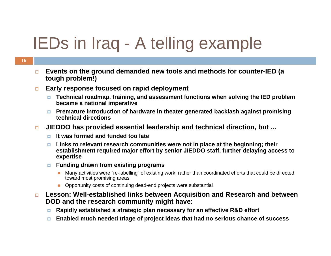# IEDs in Iraq - A telling example

- $\Box$  **Events on the ground demanded new tools and methods for counter-IED (a tough problem!)**
- $\Box$  **Early response focused on rapid deployment**
	- **Technical roadmap, training, and assessment functions when solving the IED problem became a national imperative**
	- **Premature introduction of hardware in theater generated backlash against promising technical directions**
- $\Box$  **JIEDDO has provided essential leadership and technical direction, but ...**
	- **It was formed and funded too late**
	- $\Box$  **Links to relevant research communities were not in place at the beginning; their establishment required major effort by senior JIEDDO staff, further delaying access to expertise**
	- $\Box$  **Funding drawn from existing programs**
		- $\mathcal{C}$  Many activities were "re-labelling" of existing work, rather than coordinated efforts that could be directed toward most promising areas
		- **Deportunity costs of continuing dead-end projects were substantial**
- $\Box$  **Lesson: Well-established links between Acquisition and Research and between DOD and the research community might have:**
	- $\Box$ **Rapidly established a strategic plan necessary for an effective R&D effort**
	- $\Box$ **Enabled much needed triage of project ideas that had no serious chance of success**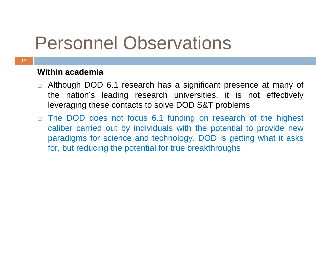# Personnel Observations

#### **17**

### **Within academia**

- □ Although DOD 6.1 research has a significant presence at many of the nation's leading research universities, it is not effectively leveraging these contacts to solve DOD S&T problems
- $\Box$  The DOD does not focus 6.1 funding on research of the highest caliber carried out by individuals with the potential to provide new paradigms for science and technology. DOD is getting what it asks for, but reducing the potential for true breakthroughs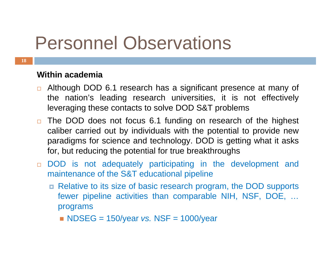# Personnel Observations

### **18**

### **Within academia**

- □ Although DOD 6.1 research has a significant presence at many of the nation's leading research universities, it is not effectively leveraging these contacts to solve DOD S&T problems
- □ The DOD does not focus 6.1 funding on research of the highest caliber carried out by individuals with the potential to provide new paradigms for science and technology. DOD is getting what it asks for, but reducing the potential for true breakthroughs
- DOD is not adequately participating in the development and maintenance of the S&T educational pipeline
	- Relative to its size of basic research program, the DOD supports fewer pipeline activities than comparable NIH, NSF, DOE, … programs
		- NDSEG = 150/year *vs.* NSF = 1000/year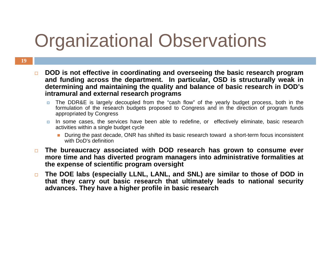# Organizational Observations

- $\Box$  **DOD is not effective in coordinating and overseeing the basic research program and funding across the department. In particular, OSD is structurally weak in determining and maintaining the quality and balance of basic research in DOD's intramural and external research programs**
	- D. The DDR&E is largely decoupled from the "cash flow" of the yearly budget process, both in the formulation of the research budgets proposed to Congress and in the direction of program funds appropriated by Congress
	- In some cases, the services have been able to redefine, or effectively eliminate, basic research activities within a single budget cycle
		- П During the past decade, ONR has shifted its basic research toward a short-term focus inconsistent with DoD's definition
- $\Box$  **The bureaucracy associated with DOD research has grown to consume ever more time and has diverted program managers into administrative formalities at the expense of scientific program oversight**
- $\Box$  **The DOE labs (especially LLNL, LANL, and SNL) are similar to those of DOD in that they carry out basic research that ultimately leads to national security advances. They have a higher profile in basic research**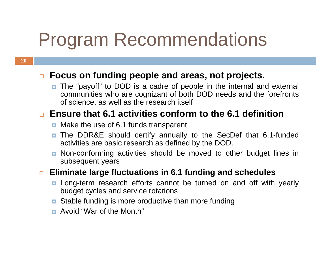# Program Recommendations

### **Focus on funding people and areas, not projects.**

■ The "payoff" to DOD is a cadre of people in the internal and external communities who are cognizant of both DOD needs and the forefronts of science, as well as the research itself

## **Ensure that 6.1 activities conform to the 6.1 definition**

- **n** Make the use of 6.1 funds transparent
- **The DDR&E should certify annually to the SecDef that 6.1-funded** activities are basic research as defined by the DOD.
- **n** Non-conforming activities should be moved to other budget lines in subsequent years
- $\Box$  **Eliminate large fluctuations in 6.1 funding and schedules**
	- **n** Long-term research efforts cannot be turned on and off with yearly budget cycles and service rotations
	- **<u>n</u>** Stable funding is more productive than more funding
	- Avoid "War of the Month"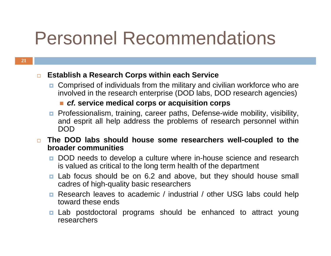# Personnel Recommendations

#### $\Box$ **Establish a Research Corps within each Service**

■ Comprised of individuals from the military and civilian workforce who are involved in the research enterprise (DOD labs, DOD research agencies)

### *cf.* **service medical corps or acquisition corps**

- **Professionalism, training, career paths, Defense-wide mobility, visibility,** and esprit all help address the problems of research personnel within DOD
- $\Box$  **The DOD labs should house some researchers well-coupled to the broader communities** 
	- **DOD** needs to develop a culture where in-house science and research is valued as critical to the long term health of the department
	- **E** Lab focus should be on 6.2 and above, but they should house small cadres of high-quality basic researchers
	- **Research leaves to academic** / industrial / other USG labs could help toward these ends
	- **<u>n</u>** Lab postdoctoral programs should be enhanced to attract young researchers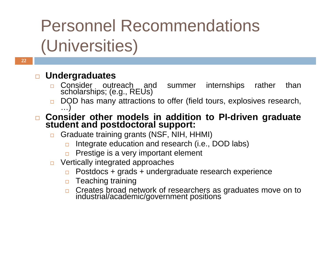# Personnel Recommendations (Universities)

### **Undergraduates**

- □ Consider outreach and summer internships rather than<br>scholarships; (e.g., REUs)
- $\Box$ DOD has many attractions to offer (field tours, explosives research,

## □ Consider other models in addition to PI-driven graduate<br>student and postdoctoral support:

- $\Box$  Graduate training grants (NSF, NIH, HHMI)
	- $\Box$ Integrate education and research (i.e., DOD labs)
	- $\Box$ Prestige is a very important element
- $\Box$  Vertically integrated approaches
	- $\Box$ Postdocs + grads + undergraduate research experience
	- $\Box$  Teaching training
	- □ Creates broad network of researchers as graduates move on to industrial/academic/government positions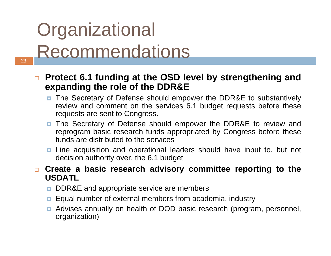# **Organizational** Recommendations

- $\blacksquare$  **Protect 6.1 funding at the OSD level by strengthening and expanding the role of the DDR&E**
	- The Secretary of Defense should empower the DDR&E to substantively review and comment on the services 6.1 budget requests before these requests are sent to Congress.
	- **The Secretary of Defense should empower the DDR&E to review and** reprogram basic research funds appropriated by Congress before these funds are distributed to the services
	- **n** Line acquisition and operational leaders should have input to, but not decision authority over, the 6.1 budget
- **Create a basic research advisory committee reporting to the USDATL**
	- Ξ DDR&E and appropriate service are members
	- $\Box$ Equal number of external members from academia, industry
	- Ξ Advises annually on health of DOD basic research (program, personnel, organization)